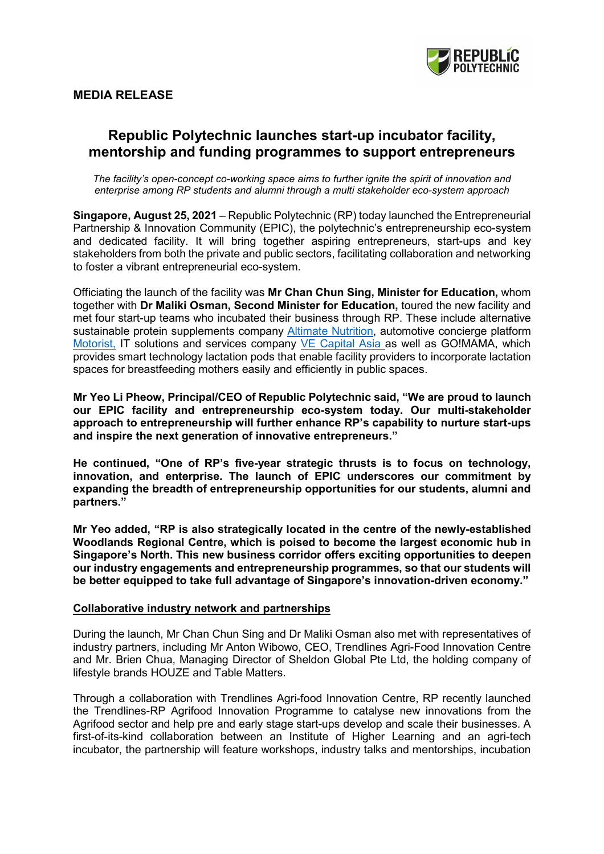

# **MEDIA RELEASE**

# **Republic Polytechnic launches start-up incubator facility, mentorship and funding programmes to support entrepreneurs**

*The facility's open-concept co-working space aims to further ignite the spirit of innovation and enterprise among RP students and alumni through a multi stakeholder eco-system approach*

**Singapore, August 25, 2021** – Republic Polytechnic (RP) today launched the Entrepreneurial Partnership & Innovation Community (EPIC), the polytechnic's entrepreneurship eco-system and dedicated facility. It will bring together aspiring entrepreneurs, start-ups and key stakeholders from both the private and public sectors, facilitating collaboration and networking to foster a vibrant entrepreneurial eco-system.

Officiating the launch of the facility was **Mr Chan Chun Sing, Minister for Education,** whom together with **Dr Maliki Osman, Second Minister for Education,** toured the new facility and met four start-up teams who incubated their business through RP. These include alternative sustainable protein supplements company [Altimate Nutrition,](https://altimatenutrition.com/) automotive concierge platform [Motorist,](https://www.motorist.sg/) IT solutions and services company [VE Capital Asia a](https://www.vecapital.asia/)s well as GO!MAMA, which provides smart technology lactation pods that enable facility providers to incorporate lactation spaces for breastfeeding mothers easily and efficiently in public spaces.

**Mr Yeo Li Pheow, Principal/CEO of Republic Polytechnic said, "We are proud to launch our EPIC facility and entrepreneurship eco-system today. Our multi-stakeholder approach to entrepreneurship will further enhance RP's capability to nurture start-ups and inspire the next generation of innovative entrepreneurs."** 

**He continued, "One of RP's five-year strategic thrusts is to focus on technology, innovation, and enterprise. The launch of EPIC underscores our commitment by expanding the breadth of entrepreneurship opportunities for our students, alumni and partners."**

**Mr Yeo added, "RP is also strategically located in the centre of the newly-established Woodlands Regional Centre, which is poised to become the largest economic hub in Singapore's North. This new business corridor offers exciting opportunities to deepen our industry engagements and entrepreneurship programmes, so that our students will be better equipped to take full advantage of Singapore's innovation-driven economy."**

## **Collaborative industry network and partnerships**

During the launch, Mr Chan Chun Sing and Dr Maliki Osman also met with representatives of industry partners, including Mr Anton Wibowo, CEO, Trendlines Agri-Food Innovation Centre and Mr. Brien Chua, Managing Director of Sheldon Global Pte Ltd, the holding company of lifestyle brands HOUZE and Table Matters.

Through a collaboration with Trendlines Agri-food Innovation Centre, RP recently launched the Trendlines-RP Agrifood Innovation Programme to catalyse new innovations from the Agrifood sector and help pre and early stage start-ups develop and scale their businesses. A first-of-its-kind collaboration between an Institute of Higher Learning and an agri-tech incubator, the partnership will feature workshops, industry talks and mentorships, incubation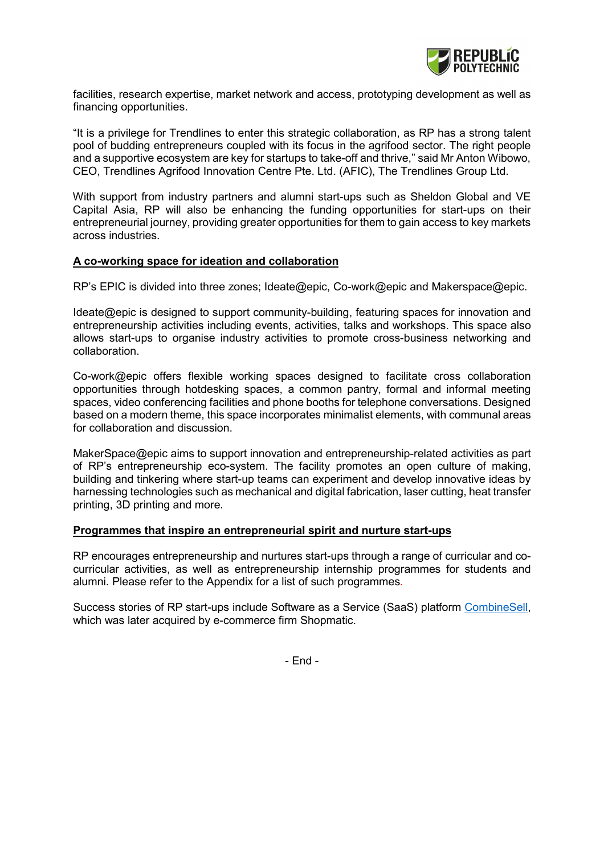

facilities, research expertise, market network and access, prototyping development as well as financing opportunities.

"It is a privilege for Trendlines to enter this strategic collaboration, as RP has a strong talent pool of budding entrepreneurs coupled with its focus in the agrifood sector. The right people and a supportive ecosystem are key for startups to take-off and thrive," said Mr Anton Wibowo, CEO, Trendlines Agrifood Innovation Centre Pte. Ltd. (AFIC), The Trendlines Group Ltd.

With support from industry partners and alumni start-ups such as Sheldon Global and VE Capital Asia, RP will also be enhancing the funding opportunities for start-ups on their entrepreneurial journey, providing greater opportunities for them to gain access to key markets across industries.

## **A co-working space for ideation and collaboration**

RP's EPIC is divided into three zones; Ideate@epic, Co-work@epic and Makerspace@epic.

Ideate@epic is designed to support community-building, featuring spaces for innovation and entrepreneurship activities including events, activities, talks and workshops. This space also allows start-ups to organise industry activities to promote cross-business networking and collaboration.

Co-work@epic offers flexible working spaces designed to facilitate cross collaboration opportunities through hotdesking spaces, a common pantry, formal and informal meeting spaces, video conferencing facilities and phone booths for telephone conversations. Designed based on a modern theme, this space incorporates minimalist elements, with communal areas for collaboration and discussion.

MakerSpace@epic aims to support innovation and entrepreneurship-related activities as part of RP's entrepreneurship eco-system. The facility promotes an open culture of making, building and tinkering where start-up teams can experiment and develop innovative ideas by harnessing technologies such as mechanical and digital fabrication, laser cutting, heat transfer printing, 3D printing and more.

#### **Programmes that inspire an entrepreneurial spirit and nurture start-ups**

RP encourages entrepreneurship and nurtures start-ups through a range of curricular and cocurricular activities, as well as entrepreneurship internship programmes for students and alumni. Please refer to the Appendix for a list of such programmes*.*

Success stories of RP start-ups include Software as a Service (SaaS) platform [CombineSell,](https://www.combinesell.com/) which was later acquired by e-commerce firm Shopmatic.

- End -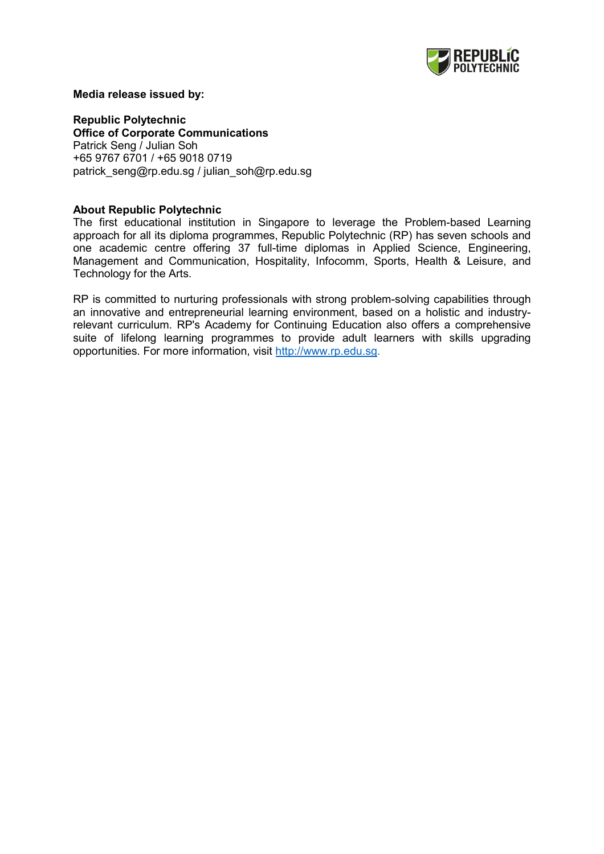

#### **Media release issued by:**

**Republic Polytechnic Office of Corporate Communications**  Patrick Seng / Julian Soh +65 9767 6701 / +65 9018 0719 patrick\_seng@rp.edu.sg / julian\_soh@rp.edu.sg

## **About Republic Polytechnic**

The first educational institution in Singapore to leverage the Problem-based Learning approach for all its diploma programmes, Republic Polytechnic (RP) has seven schools and one academic centre offering 37 full-time diplomas in Applied Science, Engineering, Management and Communication, Hospitality, Infocomm, Sports, Health & Leisure, and Technology for the Arts.

RP is committed to nurturing professionals with strong problem-solving capabilities through an innovative and entrepreneurial learning environment, based on a holistic and industryrelevant curriculum. RP's Academy for Continuing Education also offers a comprehensive suite of lifelong learning programmes to provide adult learners with skills upgrading opportunities. For more information, visit [http://www.rp.edu.sg.](http://www.rp.edu.sg/)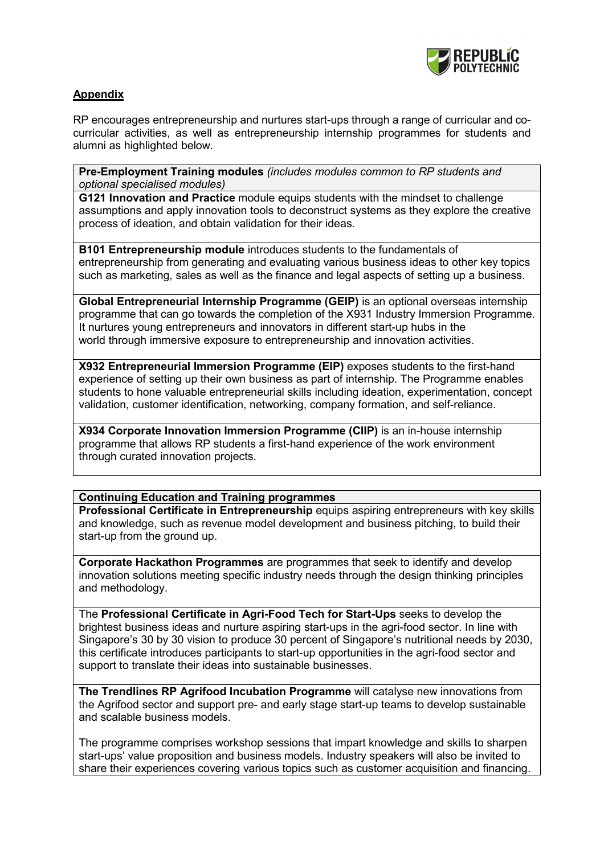

# **Appendix**

RP encourages entrepreneurship and nurtures start-ups through a range of curricular and cocurricular activities, as well as entrepreneurship internship programmes for students and alumni as highlighted below.

**Pre-Employment Training modules** *(includes modules common to RP students and optional specialised modules)*

**G121 Innovation and Practice** module equips students with the mindset to challenge assumptions and apply innovation tools to deconstruct systems as they explore the creative process of ideation, and obtain validation for their ideas.

**B101 Entrepreneurship module** introduces students to the fundamentals of entrepreneurship from generating and evaluating various business ideas to other key topics such as marketing, sales as well as the finance and legal aspects of setting up a business.

**Global Entrepreneurial Internship Programme (GEIP)** is an optional overseas internship programme that can go towards the completion of the X931 Industry Immersion Programme. It nurtures young entrepreneurs and innovators in different start-up hubs in the world through immersive exposure to entrepreneurship and innovation activities.

**X932 Entrepreneurial Immersion Programme (EIP)** exposes students to the first-hand experience of setting up their own business as part of internship. The Programme enables students to hone valuable entrepreneurial skills including ideation, experimentation, concept validation, customer identification, networking, company formation, and self-reliance.

**X934 Corporate Innovation Immersion Programme (CIIP)** is an in-house internship programme that allows RP students a first-hand experience of the work environment through curated innovation projects.

# **Continuing Education and Training programmes**

**Professional Certificate in Entrepreneurship** equips aspiring entrepreneurs with key skills and knowledge, such as revenue model development and business pitching, to build their start-up from the ground up.

**Corporate Hackathon Programmes** are programmes that seek to identify and develop innovation solutions meeting specific industry needs through the design thinking principles and methodology.

The **Professional Certificate in Agri-Food Tech for Start-Ups** seeks to develop the brightest business ideas and nurture aspiring start-ups in the agri-food sector. In line with Singapore's 30 by 30 vision to produce 30 percent of Singapore's nutritional needs by 2030, this certificate introduces participants to start-up opportunities in the agri-food sector and support to translate their ideas into sustainable businesses.

**The Trendlines RP Agrifood Incubation Programme** will catalyse new innovations from the Agrifood sector and support pre- and early stage start-up teams to develop sustainable and scalable business models.

The programme comprises workshop sessions that impart knowledge and skills to sharpen start-ups' value proposition and business models. Industry speakers will also be invited to share their experiences covering various topics such as customer acquisition and financing.